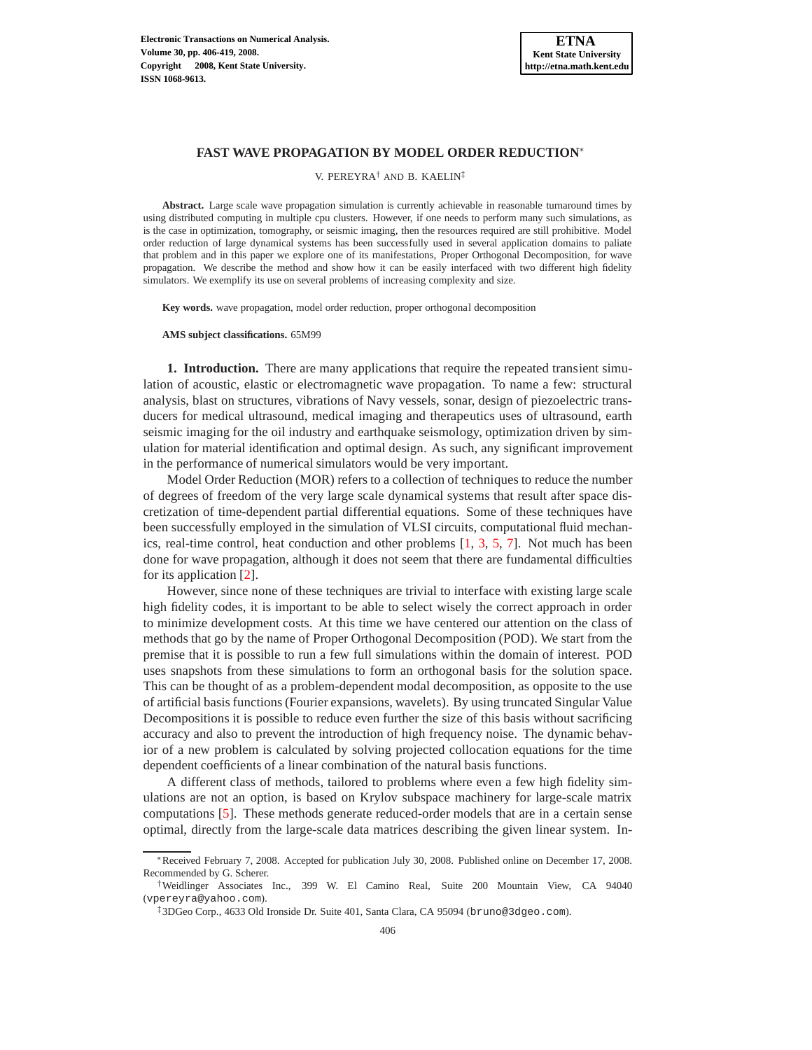

## **FAST WAVE PROPAGATION BY MODEL ORDER REDUCTION**<sup>∗</sup>

V. PEREYRA† AND B. KAELIN‡

**Abstract.** Large scale wave propagation simulation is currently achievable in reasonable turnaround times by using distributed computing in multiple cpu clusters. However, if one needs to perform many such simulations, as is the case in optimization, tomography, or seismic imaging, then the resources required are still prohibitive. Model order reduction of large dynamical systems has been successfully used in several application domains to paliate that problem and in this paper we explore one of its manifestations, Proper Orthogonal Decomposition, for wave propagation. We describe the method and show how it can be easily interfaced with two different high fidelity simulators. We exemplify its use on several problems of increasing complexity and size.

**Key words.** wave propagation, model order reduction, proper orthogonal decomposition

**AMS subject classifications.** 65M99

**1. Introduction.** There are many applications that require the repeated transient simulation of acoustic, elastic or electromagnetic wave propagation. To name a few: structural analysis, blast on structures, vibrations of Navy vessels, sonar, design of piezoelectric transducers for medical ultrasound, medical imaging and therapeutics uses of ultrasound, earth seismic imaging for the oil industry and earthquake seismology, optimization driven by simulation for material identification and optimal design. As such, any significant improvement in the performance of numerical simulators would be very important.

Model Order Reduction (MOR) refers to a collection of techniques to reduce the number of degrees of freedom of the very large scale dynamical systems that result after space discretization of time-dependent partial differential equations. Some of these techniques have been successfully employed in the simulation of VLSI circuits, computational fluid mechanics, real-time control, heat conduction and other problems [\[1,](#page-12-0) [3,](#page-13-0) [5,](#page-13-1) [7\]](#page-13-2). Not much has been done for wave propagation, although it does not seem that there are fundamental difficulties for its application [\[2\]](#page-12-1).

However, since none of these techniques are trivial to interface with existing large scale high fidelity codes, it is important to be able to select wisely the correct approach in order to minimize development costs. At this time we have centered our attention on the class of methods that go by the name of Proper Orthogonal Decomposition (POD). We start from the premise that it is possible to run a few full simulations within the domain of interest. POD uses snapshots from these simulations to form an orthogonal basis for the solution space. This can be thought of as a problem-dependent modal decomposition, as opposite to the use of artificial basis functions (Fourier expansions, wavelets). By using truncated Singular Value Decompositions it is possible to reduce even further the size of this basis without sacrificing accuracy and also to prevent the introduction of high frequency noise. The dynamic behavior of a new problem is calculated by solving projected collocation equations for the time dependent coefficients of a linear combination of the natural basis functions.

A different class of methods, tailored to problems where even a few high fidelity simulations are not an option, is based on Krylov subspace machinery for large-scale matrix computations [\[5\]](#page-13-1). These methods generate reduced-order models that are in a certain sense optimal, directly from the large-scale data matrices describing the given linear system. In-

<sup>∗</sup>Received February 7, 2008. Accepted for publication July 30, 2008. Published online on December 17, 2008. Recommended by G. Scherer.

<sup>†</sup>Weidlinger Associates Inc., 399 W. El Camino Real, Suite 200 Mountain View, CA 94040 (vpereyra@yahoo.com).

<sup>‡</sup>3DGeo Corp., 4633 Old Ironside Dr. Suite 401, Santa Clara, CA 95094 (bruno@3dgeo.com).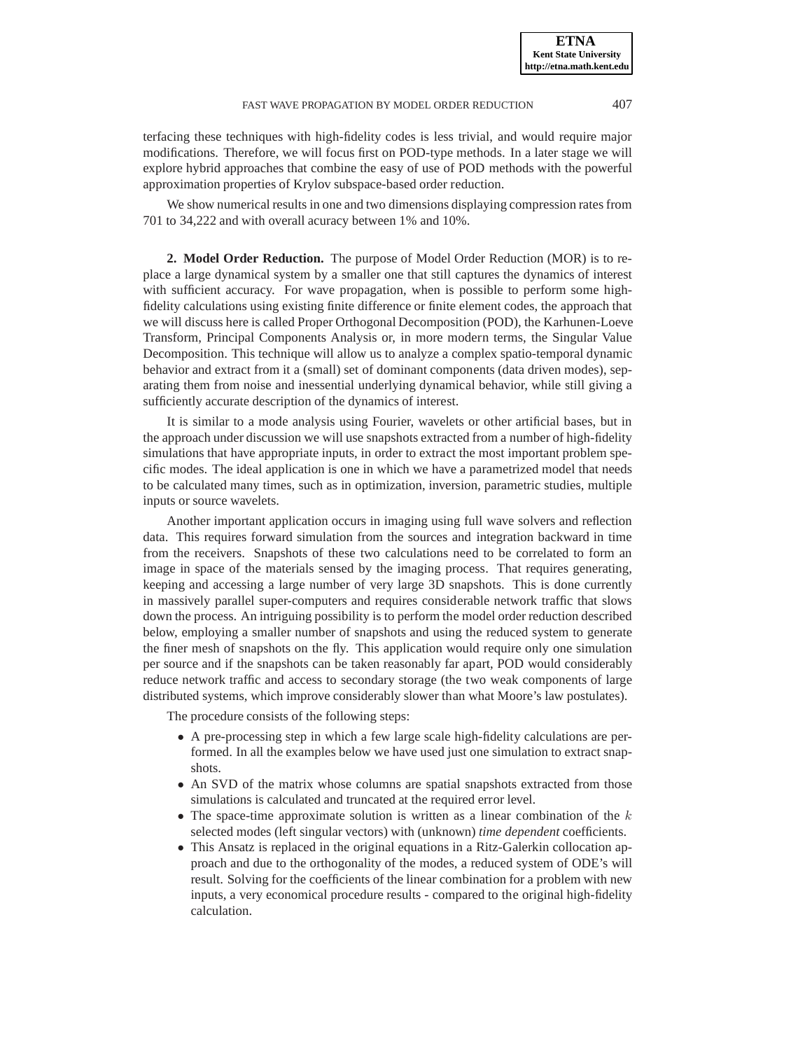terfacing these techniques with high-fidelity codes is less trivial, and would require major modifications. Therefore, we will focus first on POD-type methods. In a later stage we will explore hybrid approaches that combine the easy of use of POD methods with the powerful approximation properties of Krylov subspace-based order reduction.

We show numerical results in one and two dimensions displaying compression rates from 701 to 34,222 and with overall acuracy between 1% and 10%.

**2. Model Order Reduction.** The purpose of Model Order Reduction (MOR) is to replace a large dynamical system by a smaller one that still captures the dynamics of interest with sufficient accuracy. For wave propagation, when is possible to perform some highfidelity calculations using existing finite difference or finite element codes, the approach that we will discuss here is called Proper Orthogonal Decomposition (POD), the Karhunen-Loeve Transform, Principal Components Analysis or, in more modern terms, the Singular Value Decomposition. This technique will allow us to analyze a complex spatio-temporal dynamic behavior and extract from it a (small) set of dominant components (data driven modes), separating them from noise and inessential underlying dynamical behavior, while still giving a sufficiently accurate description of the dynamics of interest.

It is similar to a mode analysis using Fourier, wavelets or other artificial bases, but in the approach under discussion we will use snapshots extracted from a number of high-fidelity simulations that have appropriate inputs, in order to extract the most important problem specific modes. The ideal application is one in which we have a parametrized model that needs to be calculated many times, such as in optimization, inversion, parametric studies, multiple inputs or source wavelets.

Another important application occurs in imaging using full wave solvers and reflection data. This requires forward simulation from the sources and integration backward in time from the receivers. Snapshots of these two calculations need to be correlated to form an image in space of the materials sensed by the imaging process. That requires generating, keeping and accessing a large number of very large 3D snapshots. This is done currently in massively parallel super-computers and requires considerable network traffic that slows down the process. An intriguing possibility is to perform the model order reduction described below, employing a smaller number of snapshots and using the reduced system to generate the finer mesh of snapshots on the fly. This application would require only one simulation per source and if the snapshots can be taken reasonably far apart, POD would considerably reduce network traffic and access to secondary storage (the two weak components of large distributed systems, which improve considerably slower than what Moore's law postulates).

The procedure consists of the following steps:

- A pre-processing step in which a few large scale high-fidelity calculations are performed. In all the examples below we have used just one simulation to extract snapshots.
- An SVD of the matrix whose columns are spatial snapshots extracted from those simulations is calculated and truncated at the required error level.
- The space-time approximate solution is written as a linear combination of the  $k$ selected modes (left singular vectors) with (unknown) *time dependent* coefficients.
- This Ansatz is replaced in the original equations in a Ritz-Galerkin collocation approach and due to the orthogonality of the modes, a reduced system of ODE's will result. Solving for the coefficients of the linear combination for a problem with new inputs, a very economical procedure results - compared to the original high-fidelity calculation.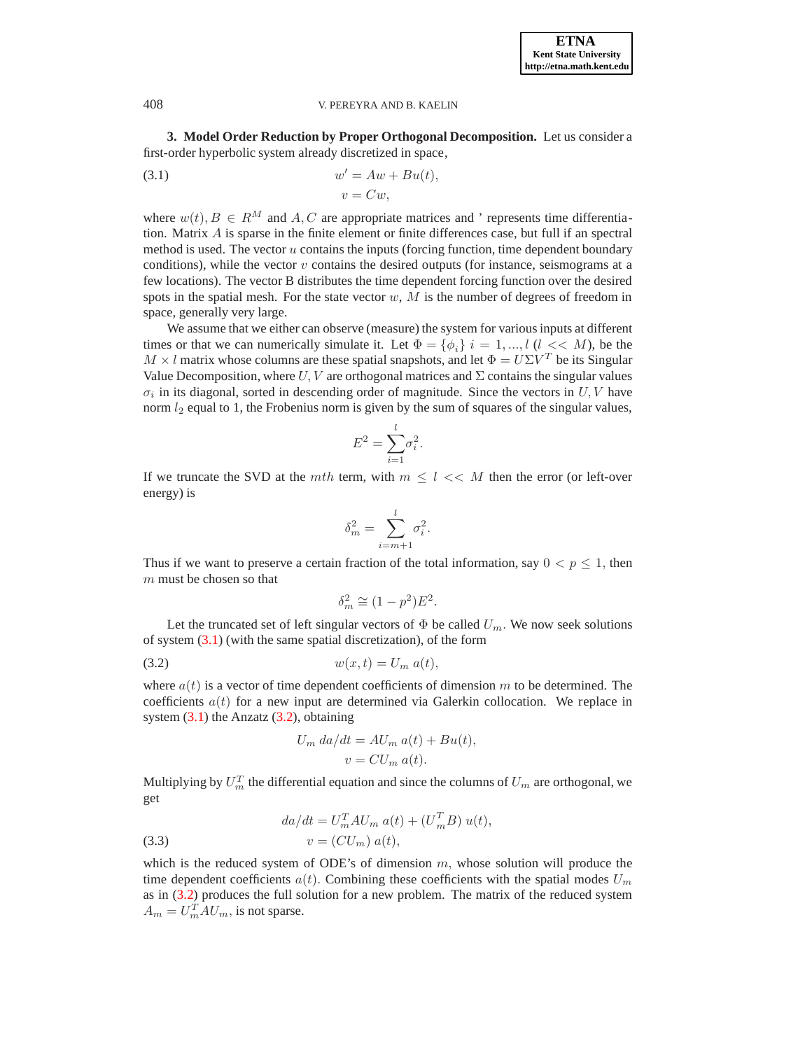**3. Model Order Reduction by Proper Orthogonal Decomposition.** Let us consider a first-order hyperbolic system already discretized in space,

<span id="page-2-0"></span>(3.1) 
$$
w' = Aw + Bu(t),
$$

$$
v = Cw,
$$

where  $w(t)$ ,  $B \in \mathbb{R}^M$  and  $A$ ,  $C$  are appropriate matrices and ' represents time differentiation. Matrix A is sparse in the finite element or finite differences case, but full if an spectral method is used. The vector  $u$  contains the inputs (forcing function, time dependent boundary conditions), while the vector  $v$  contains the desired outputs (for instance, seismograms at a few locations). The vector B distributes the time dependent forcing function over the desired spots in the spatial mesh. For the state vector  $w$ ,  $M$  is the number of degrees of freedom in space, generally very large.

We assume that we either can observe (measure) the system for various inputs at different times or that we can numerically simulate it. Let  $\Phi = {\phi_i} i = 1, ..., l$  ( $l \leq M$ ), be the  $M \times l$  matrix whose columns are these spatial snapshots, and let  $\Phi = U \Sigma V^T$  be its Singular Value Decomposition, where  $U, V$  are orthogonal matrices and  $\Sigma$  contains the singular values  $\sigma_i$  in its diagonal, sorted in descending order of magnitude. Since the vectors in  $U, V$  have norm  $l_2$  equal to 1, the Frobenius norm is given by the sum of squares of the singular values,

$$
E^2 = \sum_{i=1}^l \sigma_i^2.
$$

If we truncate the SVD at the mth term, with  $m \leq l \ll M$  then the error (or left-over energy) is

$$
\delta_m^2 = \sum_{i=m+1}^l \sigma_i^2.
$$

Thus if we want to preserve a certain fraction of the total information, say  $0 < p \le 1$ , then  $m$  must be chosen so that

$$
\delta_m^2 \cong (1 - p^2)E^2.
$$

Let the truncated set of left singular vectors of  $\Phi$  be called  $U_m$ . We now seek solutions of system [\(3.1\)](#page-2-0) (with the same spatial discretization), of the form

<span id="page-2-1"></span>
$$
(3.2) \t\t\t w(x,t) = U_m a(t),
$$

where  $a(t)$  is a vector of time dependent coefficients of dimension m to be determined. The coefficients  $a(t)$  for a new input are determined via Galerkin collocation. We replace in system  $(3.1)$  the Anzatz  $(3.2)$ , obtaining

$$
U_m \, da/dt = AU_m \, a(t) + Bu(t),
$$
  

$$
v = CU_m \, a(t).
$$

Multiplying by  $U_m^T$  the differential equation and since the columns of  $U_m$  are orthogonal, we get

(3.3) 
$$
da/dt = U_m^T A U_m a(t) + (U_m^T B) u(t),
$$

$$
v = (CU_m) a(t),
$$

which is the reduced system of ODE's of dimension  $m$ , whose solution will produce the time dependent coefficients  $a(t)$ . Combining these coefficients with the spatial modes  $U_m$ as in [\(3.2\)](#page-2-1) produces the full solution for a new problem. The matrix of the reduced system  $A_m = U_m^T A U_m$ , is not sparse.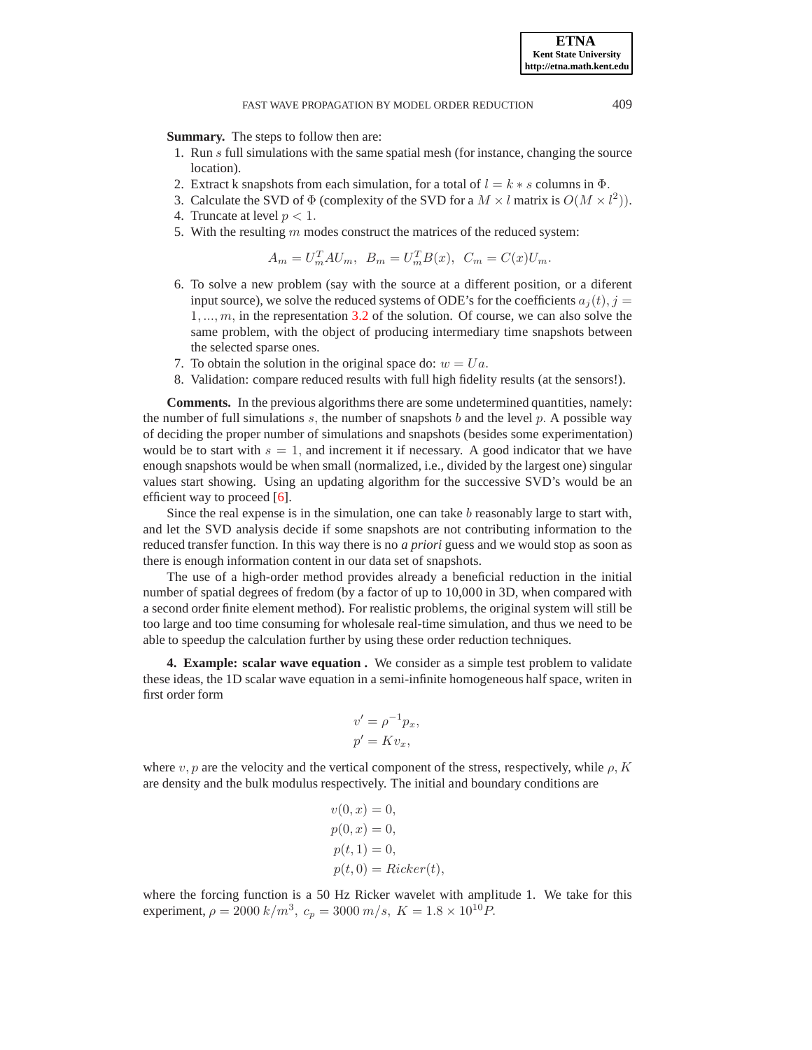**Summary.** The steps to follow then are:

- 1. Run s full simulations with the same spatial mesh (for instance, changing the source location).
- 2. Extract k snapshots from each simulation, for a total of  $l = k * s$  columns in  $\Phi$ .
- 3. Calculate the SVD of  $\Phi$  (complexity of the SVD for a  $M \times l$  matrix is  $O(M \times l^2)$ ).
- 4. Truncate at level  $p < 1$ .
- 5. With the resulting  $m$  modes construct the matrices of the reduced system:

$$
A_m = U_m^T A U_m, \quad B_m = U_m^T B(x), \quad C_m = C(x) U_m.
$$

- 6. To solve a new problem (say with the source at a different position, or a diferent input source), we solve the reduced systems of ODE's for the coefficients  $a_i(t)$ ,  $j =$  $1, \ldots, m$ , in the representation [3.2](#page-2-1) of the solution. Of course, we can also solve the same problem, with the object of producing intermediary time snapshots between the selected sparse ones.
- 7. To obtain the solution in the original space do:  $w = Ua$ .
- 8. Validation: compare reduced results with full high fidelity results (at the sensors!).

**Comments.** In the previous algorithms there are some undetermined quantities, namely: the number of full simulations s, the number of snapshots b and the level p. A possible way of deciding the proper number of simulations and snapshots (besides some experimentation) would be to start with  $s = 1$ , and increment it if necessary. A good indicator that we have enough snapshots would be when small (normalized, i.e., divided by the largest one) singular values start showing. Using an updating algorithm for the successive SVD's would be an efficient way to proceed [\[6\]](#page-13-3).

Since the real expense is in the simulation, one can take  $b$  reasonably large to start with, and let the SVD analysis decide if some snapshots are not contributing information to the reduced transfer function. In this way there is no *a priori* guess and we would stop as soon as there is enough information content in our data set of snapshots.

The use of a high-order method provides already a beneficial reduction in the initial number of spatial degrees of fredom (by a factor of up to 10,000 in 3D, when compared with a second order finite element method). For realistic problems, the original system will still be too large and too time consuming for wholesale real-time simulation, and thus we need to be able to speedup the calculation further by using these order reduction techniques.

**4. Example: scalar wave equation .** We consider as a simple test problem to validate these ideas, the 1D scalar wave equation in a semi-infinite homogeneous half space, writen in first order form

$$
v' = \rho^{-1} p_x,
$$
  

$$
p' = Kv_x,
$$

where  $v, p$  are the velocity and the vertical component of the stress, respectively, while  $\rho, K$ are density and the bulk modulus respectively. The initial and boundary conditions are

$$
v(0, x) = 0,
$$
  
\n
$$
p(0, x) = 0,
$$
  
\n
$$
p(t, 1) = 0,
$$
  
\n
$$
p(t, 0) = Ricker(t),
$$

where the forcing function is a 50 Hz Ricker wavelet with amplitude 1. We take for this experiment,  $\rho = 2000 \frac{k}{m^3}$ ,  $c_p = 3000 \frac{m}{s}$ ,  $K = 1.8 \times 10^{10}$  P.

**ETNA Kent State University http://etna.math.kent.edu**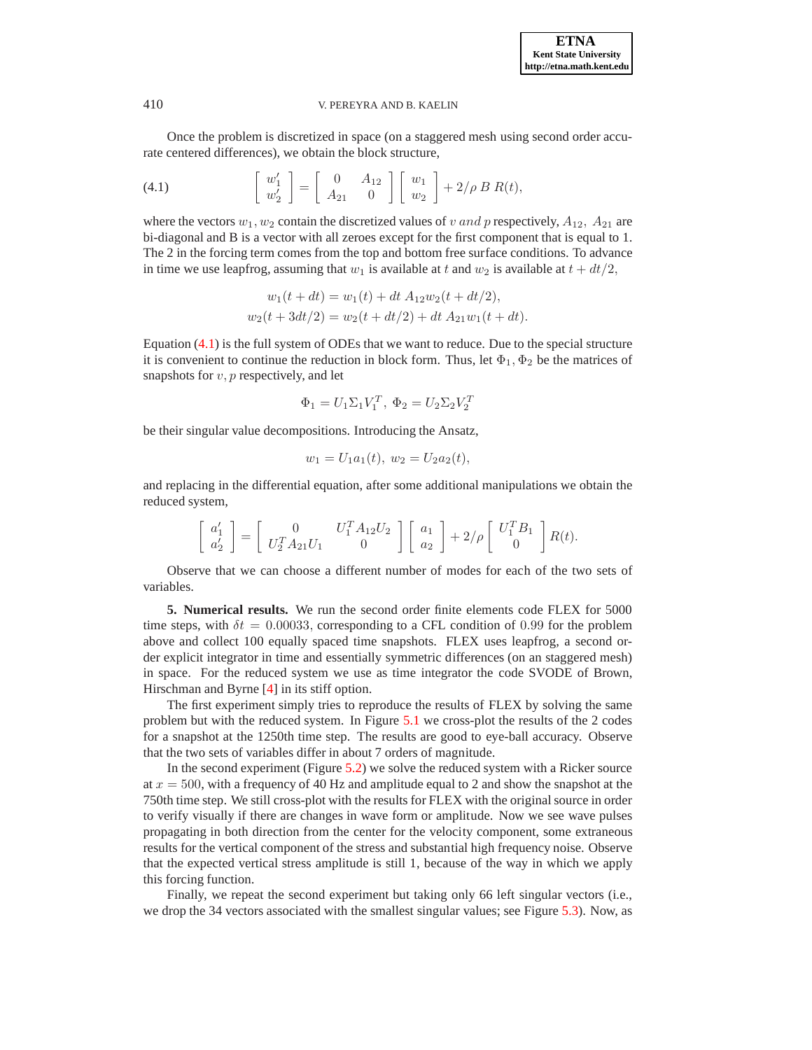Once the problem is discretized in space (on a staggered mesh using second order accurate centered differences), we obtain the block structure,

<span id="page-4-0"></span>(4.1) 
$$
\begin{bmatrix} w_1' \\ w_2' \end{bmatrix} = \begin{bmatrix} 0 & A_{12} \\ A_{21} & 0 \end{bmatrix} \begin{bmatrix} w_1 \\ w_2 \end{bmatrix} + 2/\rho B R(t),
$$

where the vectors  $w_1, w_2$  contain the discretized values of v and p respectively,  $A_{12}$ ,  $A_{21}$  are bi-diagonal and B is a vector with all zeroes except for the first component that is equal to 1. The 2 in the forcing term comes from the top and bottom free surface conditions. To advance in time we use leapfrog, assuming that  $w_1$  is available at t and  $w_2$  is available at  $t + dt/2$ ,

$$
w_1(t + dt) = w_1(t) + dt A_{12}w_2(t + dt/2),
$$
  

$$
w_2(t + 3dt/2) = w_2(t + dt/2) + dt A_{21}w_1(t + dt).
$$

Equation [\(4.1\)](#page-4-0) is the full system of ODEs that we want to reduce. Due to the special structure it is convenient to continue the reduction in block form. Thus, let  $\Phi_1, \Phi_2$  be the matrices of snapshots for  $v, p$  respectively, and let

$$
\Phi_1 = U_1 \Sigma_1 V_1^T, \ \Phi_2 = U_2 \Sigma_2 V_2^T
$$

be their singular value decompositions. Introducing the Ansatz,

$$
w_1 = U_1 a_1(t), \ w_2 = U_2 a_2(t),
$$

and replacing in the differential equation, after some additional manipulations we obtain the reduced system,

$$
\left[\begin{array}{c}a_1'\\a_2'\end{array}\right]=\left[\begin{array}{cc}0&U_1^TA_{12}U_2\\U_2^TA_{21}U_1&0\end{array}\right]\left[\begin{array}{c}a_1\\a_2\end{array}\right]+2/\rho\left[\begin{array}{c}U_1^TB_1\\0\end{array}\right]R(t).
$$

Observe that we can choose a different number of modes for each of the two sets of variables.

**5. Numerical results.** We run the second order finite elements code FLEX for 5000 time steps, with  $\delta t = 0.00033$ , corresponding to a CFL condition of 0.99 for the problem above and collect 100 equally spaced time snapshots. FLEX uses leapfrog, a second order explicit integrator in time and essentially symmetric differences (on an staggered mesh) in space. For the reduced system we use as time integrator the code SVODE of Brown, Hirschman and Byrne [\[4\]](#page-13-4) in its stiff option.

The first experiment simply tries to reproduce the results of FLEX by solving the same problem but with the reduced system. In Figure [5.1](#page-13-5) we cross-plot the results of the 2 codes for a snapshot at the 1250th time step. The results are good to eye-ball accuracy. Observe that the two sets of variables differ in about 7 orders of magnitude.

In the second experiment (Figure [5.2\)](#page-10-0) we solve the reduced system with a Ricker source at  $x = 500$ , with a frequency of 40 Hz and amplitude equal to 2 and show the snapshot at the 750th time step. We still cross-plot with the results for FLEX with the original source in order to verify visually if there are changes in wave form or amplitude. Now we see wave pulses propagating in both direction from the center for the velocity component, some extraneous results for the vertical component of the stress and substantial high frequency noise. Observe that the expected vertical stress amplitude is still 1, because of the way in which we apply this forcing function.

Finally, we repeat the second experiment but taking only 66 left singular vectors (i.e., we drop the 34 vectors associated with the smallest singular values; see Figure [5.3\)](#page-11-0). Now, as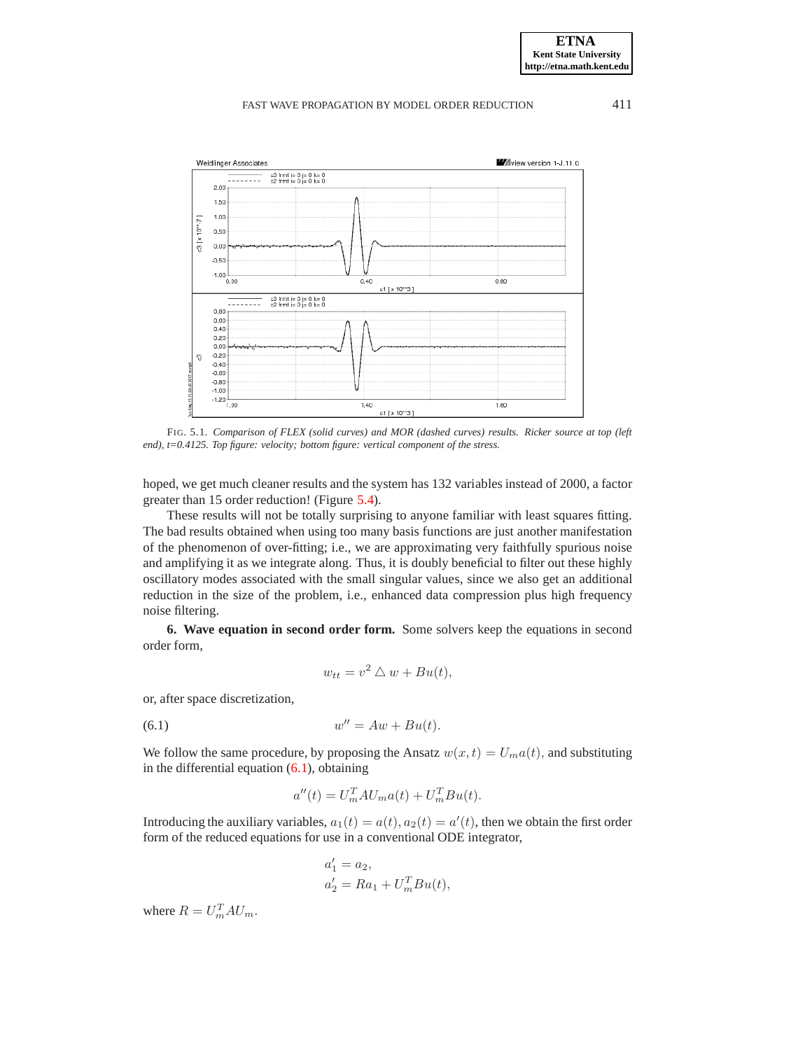

FIG. 5.1. *Comparison of FLEX (solid curves) and MOR (dashed curves) results. Ricker source at top (left end), t=0.4125. Top figure: velocity; bottom figure: vertical component of the stress.*

hoped, we get much cleaner results and the system has 132 variables instead of 2000, a factor greater than 15 order reduction! (Figure [5.4\)](#page-11-1).

These results will not be totally surprising to anyone familiar with least squares fitting. The bad results obtained when using too many basis functions are just another manifestation of the phenomenon of over-fitting; i.e., we are approximating very faithfully spurious noise and amplifying it as we integrate along. Thus, it is doubly beneficial to filter out these highly oscillatory modes associated with the small singular values, since we also get an additional reduction in the size of the problem, i.e., enhanced data compression plus high frequency noise filtering.

**6. Wave equation in second order form.** Some solvers keep the equations in second order form,

$$
w_{tt} = v^2 \bigtriangleup w + Bu(t),
$$

or, after space discretization,

$$
(6.1) \t\t\t w'' = Aw + Bu(t).
$$

We follow the same procedure, by proposing the Ansatz  $w(x, t) = U_m a(t)$ , and substituting in the differential equation  $(6.1)$ , obtaining

<span id="page-5-0"></span>
$$
a''(t) = U_m^T A U_m a(t) + U_m^T B u(t).
$$

Introducing the auxiliary variables,  $a_1(t) = a(t)$ ,  $a_2(t) = a'(t)$ , then we obtain the first order form of the reduced equations for use in a conventional ODE integrator,

$$
a'_1 = a_2,
$$
  
\n
$$
a'_2 = Ra_1 + U_m^T B u(t),
$$

where  $R = U_m^T A U_m$ .

**ETNA Kent State University http://etna.math.kent.edu**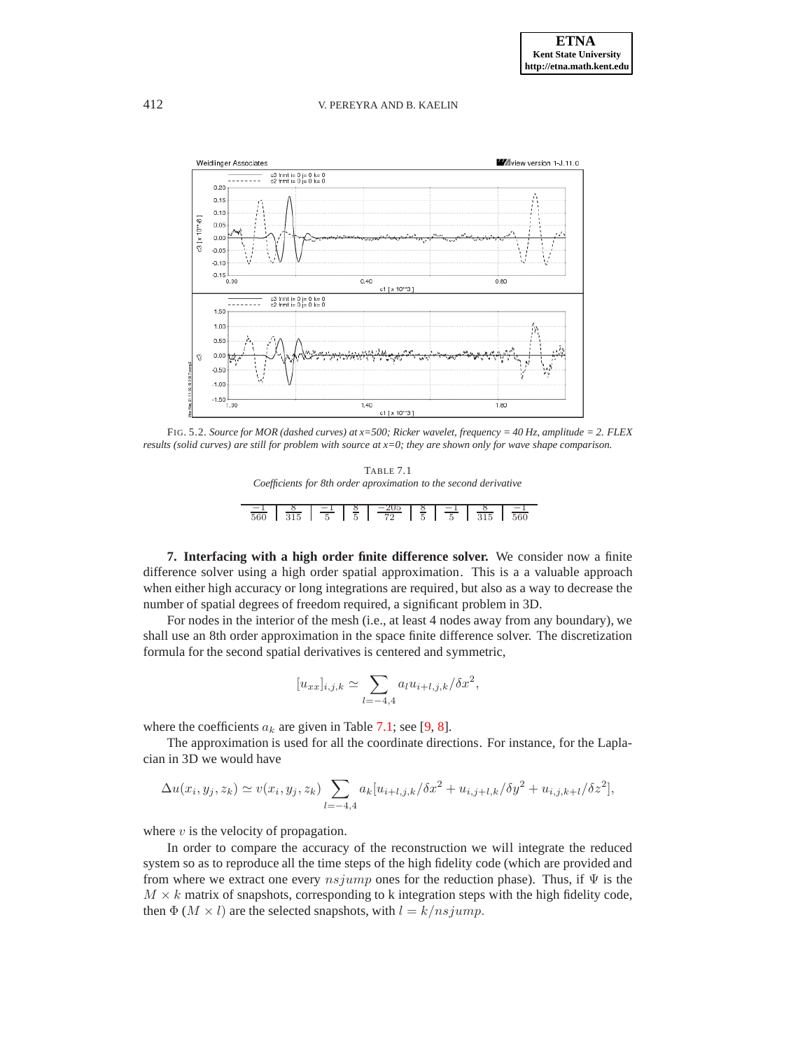

FIG. 5.2. *Source for MOR (dashed curves) at x=500; Ricker wavelet, frequency = 40 Hz, amplitude = 2. FLEX results (solid curves) are still for problem with source at x=0; they are shown only for wave shape comparison.*

| TABLE 7.1                                                        |
|------------------------------------------------------------------|
| Coefficients for 8th order aproximation to the second derivative |
|                                                                  |

|  |  | $\frac{-1}{560}$ $\frac{8}{315}$ $\frac{-1}{5}$ $\frac{8}{5}$ $\frac{-205}{72}$ $\frac{8}{5}$ $\frac{-1}{5}$ $\frac{8}{315}$ $\frac{-1}{560}$ |  |  |
|--|--|-----------------------------------------------------------------------------------------------------------------------------------------------|--|--|
|  |  |                                                                                                                                               |  |  |
|  |  |                                                                                                                                               |  |  |
|  |  |                                                                                                                                               |  |  |
|  |  |                                                                                                                                               |  |  |
|  |  |                                                                                                                                               |  |  |
|  |  |                                                                                                                                               |  |  |

**7. Interfacing with a high order finite difference solver.** We consider now a finite difference solver using a high order spatial approximation. This is a a valuable approach when either high accuracy or long integrations are required, but also as a way to decrease the number of spatial degrees of freedom required, a significant problem in 3D.

For nodes in the interior of the mesh (i.e., at least 4 nodes away from any boundary), we shall use an 8th order approximation in the space finite difference solver. The discretization formula for the second spatial derivatives is centered and symmetric,

$$
[u_{xx}]_{i,j,k} \simeq \sum_{l=-4,4} a_l u_{i+l,j,k} / \delta x^2,
$$

where the coefficients  $a_k$  are given in Table [7.1;](#page-9-0) see [\[9,](#page-13-6) [8\]](#page-13-7).

The approximation is used for all the coordinate directions. For instance, for the Laplacian in 3D we would have

$$
\Delta u(x_i, y_j, z_k) \simeq v(x_i, y_j, z_k) \sum_{l=-4,4} a_k [u_{i+l,j,k}/\delta x^2 + u_{i,j+l,k}/\delta y^2 + u_{i,j,k+l}/\delta z^2],
$$

where  $v$  is the velocity of propagation.

In order to compare the accuracy of the reconstruction we will integrate the reduced system so as to reproduce all the time steps of the high fidelity code (which are provided and from where we extract one every  $nsjump$  ones for the reduction phase). Thus, if  $\Psi$  is the  $M \times k$  matrix of snapshots, corresponding to k integration steps with the high fidelity code, then  $\Phi$  ( $M \times l$ ) are the selected snapshots, with  $l = k/nsjump$ .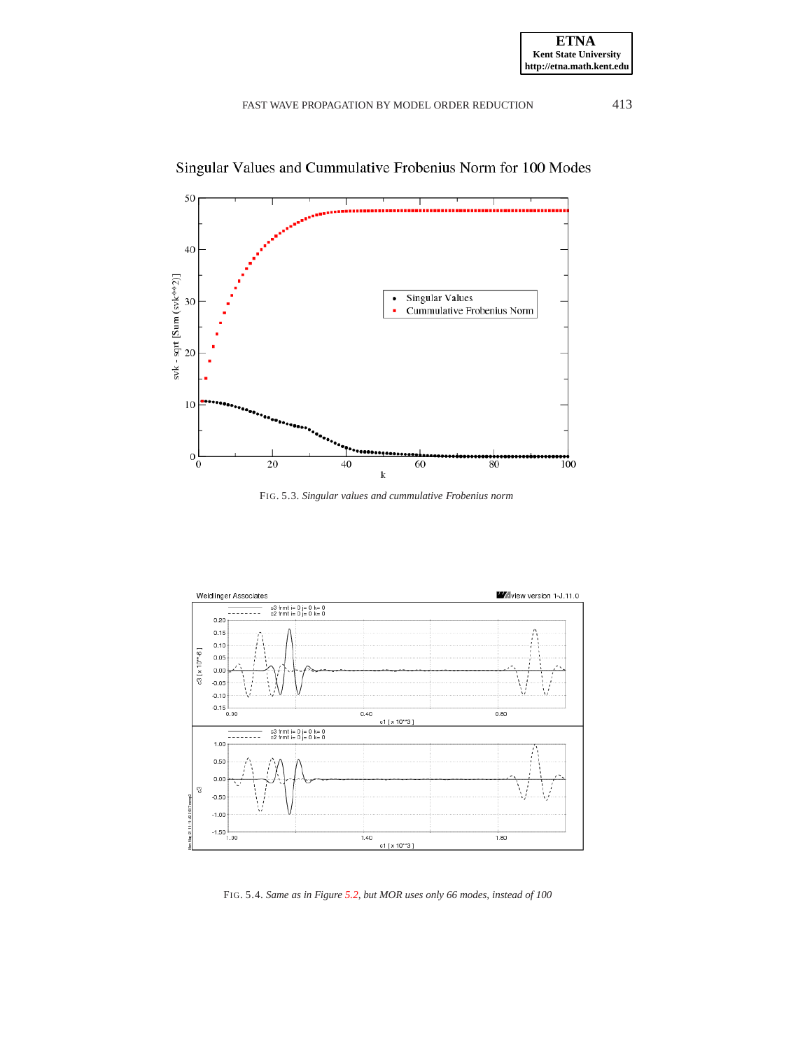

Singular Values and Cummulative Frobenius Norm for 100 Modes





FIG. 5.4. *Same as in Figure [5.2,](#page-10-0) but MOR uses only 66 modes, instead of 100*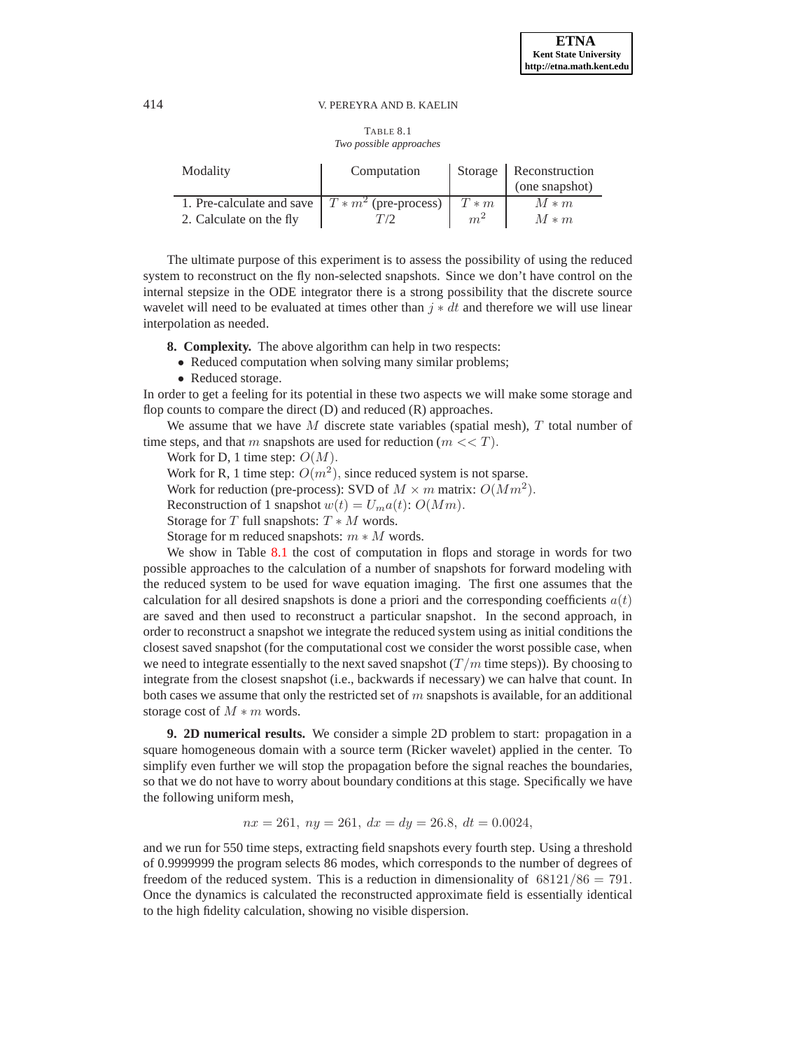#### TABLE 8.1 *Two possible approaches*

| Modality                                             | Computation |            | Storage   Reconstruction |  |
|------------------------------------------------------|-------------|------------|--------------------------|--|
|                                                      |             |            | (one snapshot)           |  |
| 1. Pre-calculate and save $T \ast m^2$ (pre-process) |             | $T \ast m$ | $M*m$                    |  |
| 2. Calculate on the fly                              |             | $m^2$      | $M*m$                    |  |

The ultimate purpose of this experiment is to assess the possibility of using the reduced system to reconstruct on the fly non-selected snapshots. Since we don't have control on the internal stepsize in the ODE integrator there is a strong possibility that the discrete source wavelet will need to be evaluated at times other than  $j * dt$  and therefore we will use linear interpolation as needed.

- **8. Complexity.** The above algorithm can help in two respects:
	- Reduced computation when solving many similar problems;
	- Reduced storage.

In order to get a feeling for its potential in these two aspects we will make some storage and flop counts to compare the direct  $(D)$  and reduced  $(R)$  approaches.

We assume that we have  $M$  discrete state variables (spatial mesh),  $T$  total number of time steps, and that m snapshots are used for reduction  $(m \ll T)$ .

Work for D, 1 time step:  $O(M)$ .

Work for R, 1 time step:  $O(m^2)$ , since reduced system is not sparse.

Work for reduction (pre-process): SVD of  $M \times m$  matrix:  $O(Mm^2)$ .

Reconstruction of 1 snapshot  $w(t) = U_m a(t)$ :  $O(Mm)$ .

Storage for T full snapshots:  $T * M$  words.

Storage for m reduced snapshots:  $m * M$  words.

We show in Table [8.1](#page-9-0) the cost of computation in flops and storage in words for two possible approaches to the calculation of a number of snapshots for forward modeling with the reduced system to be used for wave equation imaging. The first one assumes that the calculation for all desired snapshots is done a priori and the corresponding coefficients  $a(t)$ are saved and then used to reconstruct a particular snapshot. In the second approach, in order to reconstruct a snapshot we integrate the reduced system using as initial conditions the closest saved snapshot (for the computational cost we consider the worst possible case, when we need to integrate essentially to the next saved snapshot  $(T/m$  time steps)). By choosing to integrate from the closest snapshot (i.e., backwards if necessary) we can halve that count. In both cases we assume that only the restricted set of  $m$  snapshots is available, for an additional storage cost of  $M * m$  words.

**9. 2D numerical results.** We consider a simple 2D problem to start: propagation in a square homogeneous domain with a source term (Ricker wavelet) applied in the center. To simplify even further we will stop the propagation before the signal reaches the boundaries, so that we do not have to worry about boundary conditions at this stage. Specifically we have the following uniform mesh,

 $nx = 261$ ,  $ny = 261$ ,  $dx = dy = 26.8$ ,  $dt = 0.0024$ ,

and we run for 550 time steps, extracting field snapshots every fourth step. Using a threshold of 0.9999999 the program selects 86 modes, which corresponds to the number of degrees of freedom of the reduced system. This is a reduction in dimensionality of  $68121/86 = 791$ . Once the dynamics is calculated the reconstructed approximate field is essentially identical to the high fidelity calculation, showing no visible dispersion.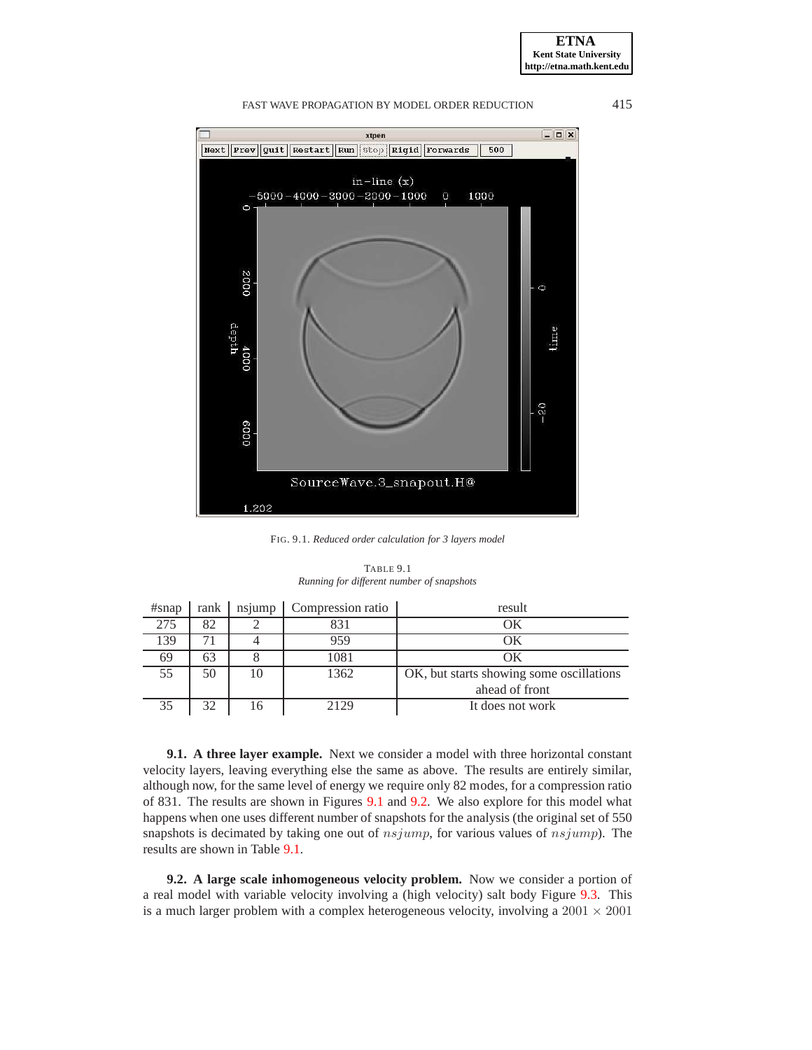**ETNA Kent State University http://etna.math.kent.edu**



# FAST WAVE PROPAGATION BY MODEL ORDER REDUCTION 415

FIG. 9.1. *Reduced order calculation for 3 layers model*

| TABLE 9.1 |  |  |                                           |  |
|-----------|--|--|-------------------------------------------|--|
|           |  |  | Running for different number of snapshots |  |

<span id="page-9-0"></span>

| $#$ snap | rank | nsjump | Compression ratio | result                                   |
|----------|------|--------|-------------------|------------------------------------------|
| 275      | 82   |        | 831               | ОK                                       |
| 139      | 71   |        | 959               | OК                                       |
| 69       | 63   |        | 1081              | OК                                       |
| 55       | 50   | 10     | 1362              | OK, but starts showing some oscillations |
|          |      |        |                   | ahead of front                           |
| 35       | 32   | 16     | 2129              | It does not work                         |

**9.1. A three layer example.** Next we consider a model with three horizontal constant velocity layers, leaving everything else the same as above. The results are entirely similar, although now, for the same level of energy we require only 82 modes, for a compression ratio of 831. The results are shown in Figures [9.1](#page-13-5) and [9.2.](#page-10-0) We also explore for this model what happens when one uses different number of snapshots for the analysis (the original set of 550 snapshots is decimated by taking one out of  $nsjump$ , for various values of  $nsjump$ . The results are shown in Table [9.1.](#page-9-0)

**9.2. A large scale inhomogeneous velocity problem.** Now we consider a portion of a real model with variable velocity involving a (high velocity) salt body Figure [9.3.](#page-11-0) This is a much larger problem with a complex heterogeneous velocity, involving a  $2001 \times 2001$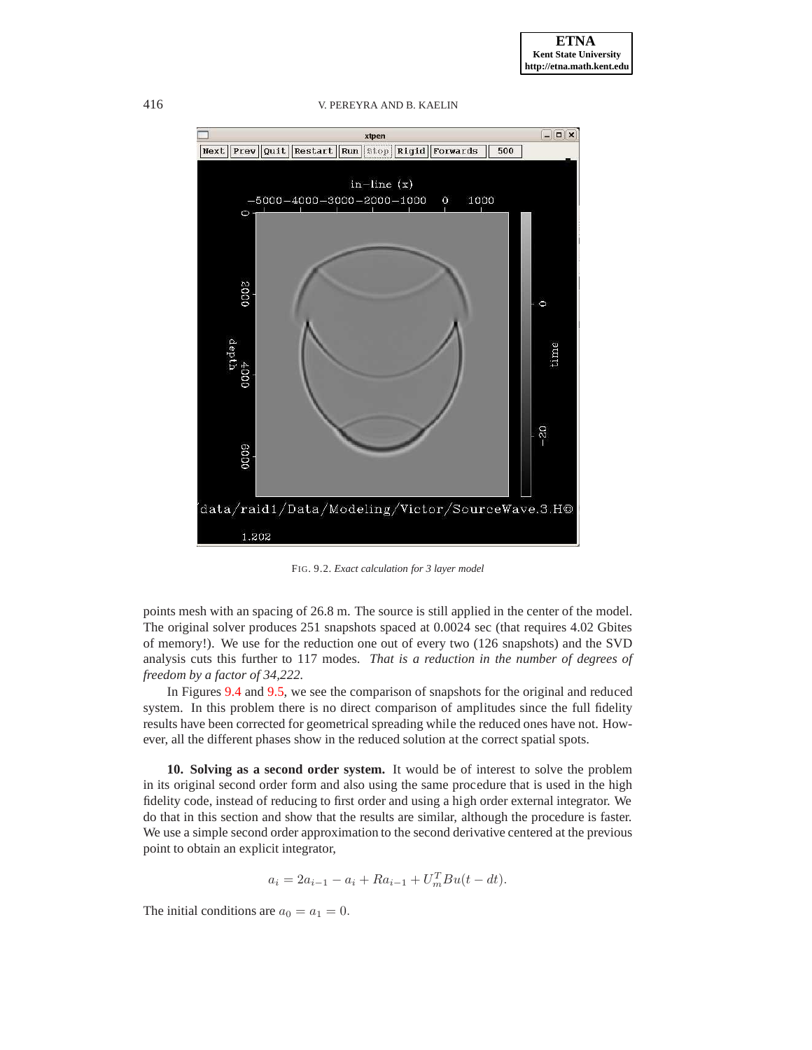416 V. PEREYRA AND B. KAELIN



<span id="page-10-0"></span>FIG. 9.2. *Exact calculation for 3 layer model*

points mesh with an spacing of 26.8 m. The source is still applied in the center of the model. The original solver produces 251 snapshots spaced at 0.0024 sec (that requires 4.02 Gbites of memory!). We use for the reduction one out of every two (126 snapshots) and the SVD analysis cuts this further to 117 modes. *That is a reduction in the number of degrees of freedom by a factor of 34,222.*

In Figures [9.4](#page-11-1) and [9.5,](#page-12-2) we see the comparison of snapshots for the original and reduced system. In this problem there is no direct comparison of amplitudes since the full fidelity results have been corrected for geometrical spreading while the reduced ones have not. However, all the different phases show in the reduced solution at the correct spatial spots.

**10. Solving as a second order system.** It would be of interest to solve the problem in its original second order form and also using the same procedure that is used in the high fidelity code, instead of reducing to first order and using a high order external integrator. We do that in this section and show that the results are similar, although the procedure is faster. We use a simple second order approximation to the second derivative centered at the previous point to obtain an explicit integrator,

$$
a_i = 2a_{i-1} - a_i + Ra_{i-1} + U_m^T B u(t - dt).
$$

The initial conditions are  $a_0 = a_1 = 0$ .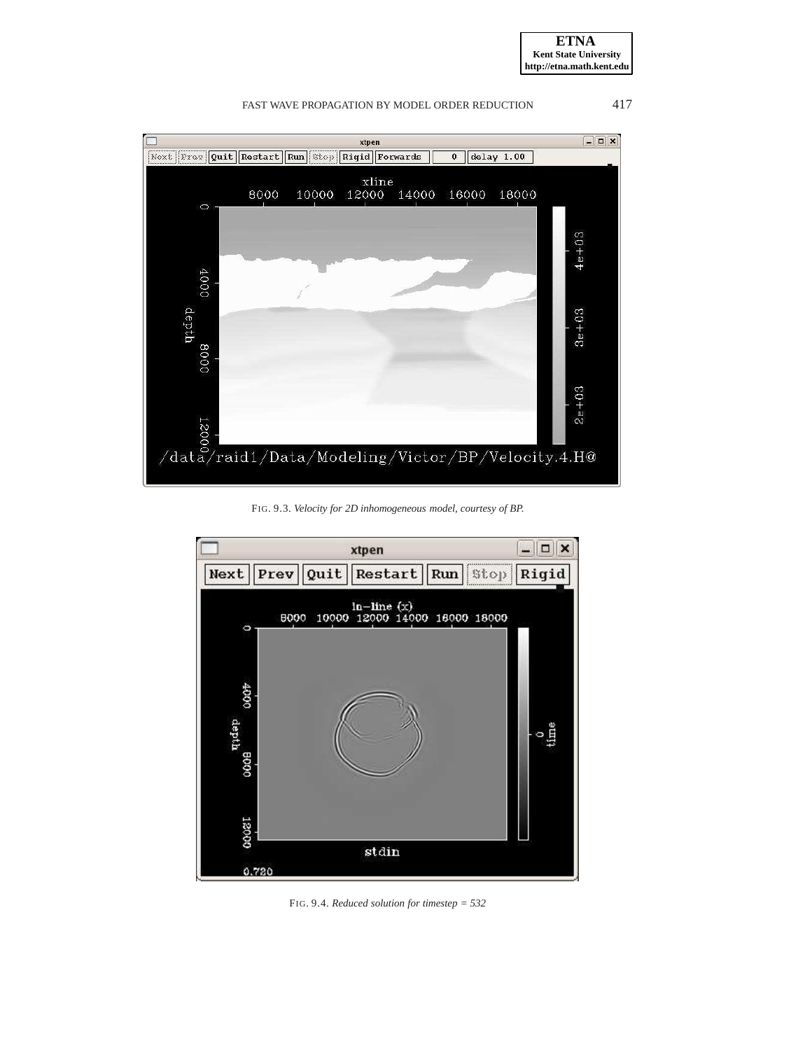**ETNA Kent State University http://etna.math.kent.edu**

FAST WAVE PROPAGATION BY MODEL ORDER REDUCTION 417



FIG. 9.3. *Velocity for 2D inhomogeneous model, courtesy of BP.*

<span id="page-11-0"></span>

<span id="page-11-1"></span>FIG. 9.4. *Reduced solution for timestep = 532*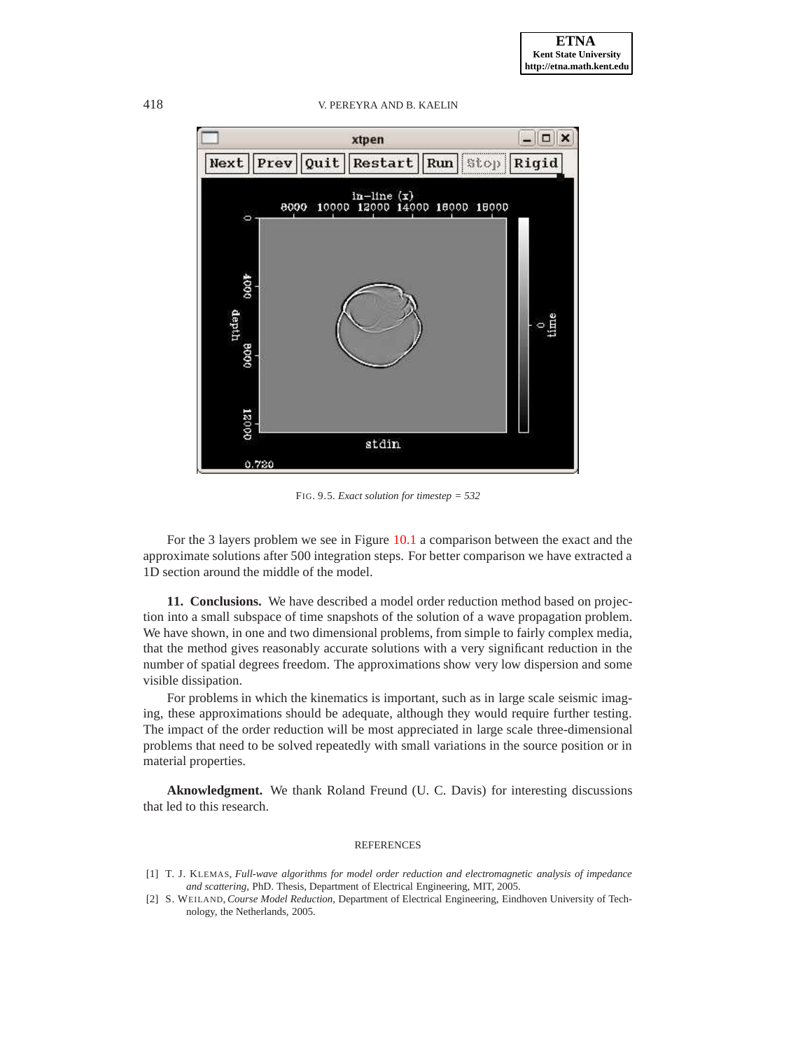418 V. PEREYRA AND B. KAELIN



<span id="page-12-2"></span>FIG. 9.5. *Exact solution for timestep = 532*

For the 3 layers problem we see in Figure [10.1](#page-13-5) a comparison between the exact and the approximate solutions after 500 integration steps. For better comparison we have extracted a 1D section around the middle of the model.

**11. Conclusions.** We have described a model order reduction method based on projection into a small subspace of time snapshots of the solution of a wave propagation problem. We have shown, in one and two dimensional problems, from simple to fairly complex media, that the method gives reasonably accurate solutions with a very significant reduction in the number of spatial degrees freedom. The approximations show very low dispersion and some visible dissipation.

For problems in which the kinematics is important, such as in large scale seismic imaging, these approximations should be adequate, although they would require further testing. The impact of the order reduction will be most appreciated in large scale three-dimensional problems that need to be solved repeatedly with small variations in the source position or in material properties.

**Aknowledgment.** We thank Roland Freund (U. C. Davis) for interesting discussions that led to this research.

#### REFERENCES

- <span id="page-12-0"></span>[1] T. J. KLEMAS, *Full-wave algorithms for model order reduction and electromagnetic analysis of impedance and scattering*, PhD. Thesis, Department of Electrical Engineering, MIT, 2005.
- <span id="page-12-1"></span>[2] S. WEILAND, *Course Model Reduction*, Department of Electrical Engineering, Eindhoven University of Technology, the Netherlands, 2005.